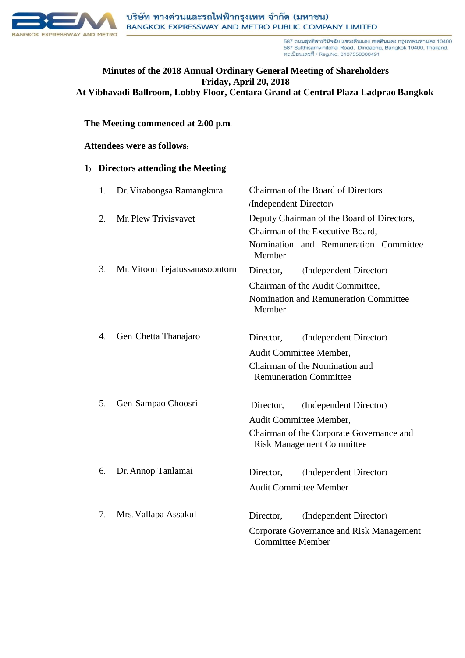

587 ถนนสุทธิสารวินิจฉัย แขวงดินแดง เขตดินแดง กรุงเทพมหานคร 10400 587 Sutthisarnvinitchai Road, Dindaeng, Bangkok 10400, Thailand. ทะเบียนเลขที / Reg.No. 0107558000491

# **Minutes of the 2018 Annual Ordinary General Meeting of Shareholders Friday, April 20, 2018 At Vibhavadi Ballroom, Lobby Floor, Centara Grand at Central Plaza Ladprao Bangkok**

**---------------------------------------------------------------------------------------**

#### **The Meeting commenced at 2:00 p.m.**

#### **Attendees were as follows:**

#### **1) Directors attending the Meeting**

| 1.                    | Dr. Virabongsa Ramangkura      | Chairman of the Board of Directors                                           |
|-----------------------|--------------------------------|------------------------------------------------------------------------------|
|                       |                                | (Independent Director)                                                       |
| $\overline{2}$ .      | Mr. Plew Trivisvavet           | Deputy Chairman of the Board of Directors,                                   |
|                       |                                | Chairman of the Executive Board,                                             |
|                       |                                | Nomination and Remuneration Committee<br>Member                              |
| 3 <sub>1</sub>        | Mr. Vitoon Tejatussanasoontorn | (Independent Director)<br>Director,                                          |
|                       |                                | Chairman of the Audit Committee,                                             |
|                       |                                | Nomination and Remuneration Committee<br>Member                              |
| $\mathcal{A}_{\cdot}$ | Gen. Chetta Thanajaro          | Director,<br>(Independent Director)                                          |
|                       |                                | Audit Committee Member,                                                      |
|                       |                                | Chairman of the Nomination and<br><b>Remuneration Committee</b>              |
| 5 <sub>1</sub>        | Gen. Sampao Choosri            | (Independent Director)<br>Director,                                          |
|                       |                                | Audit Committee Member,                                                      |
|                       |                                | Chairman of the Corporate Governance and<br><b>Risk Management Committee</b> |
| 6.                    | Dr. Annop Tanlamai             | (Independent Director)<br>Director,                                          |
|                       |                                | <b>Audit Committee Member</b>                                                |
| 7.                    | Mrs. Vallapa Assakul           | (Independent Director)<br>Director,                                          |
|                       |                                | Corporate Governance and Risk Management<br><b>Committee Member</b>          |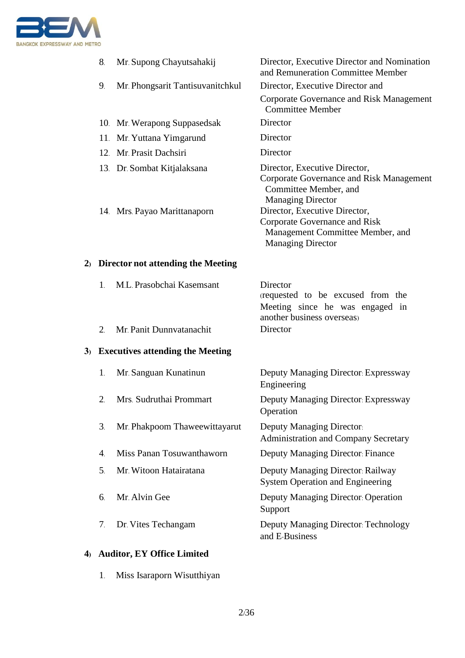

|    | 8.             | Mr. Supong Chayutsahakij              | Director, Executive Director and Nomination<br>and Remuneration Committee Member                                                      |  |
|----|----------------|---------------------------------------|---------------------------------------------------------------------------------------------------------------------------------------|--|
|    | 9.             | Mr. Phongsarit Tantisuvanitchkul      | Director, Executive Director and                                                                                                      |  |
|    |                |                                       | Corporate Governance and Risk Management<br><b>Committee Member</b>                                                                   |  |
|    |                | 10. Mr. Werapong Suppasedsak          | Director                                                                                                                              |  |
|    |                | 11. Mr. Yuttana Yimgarund             | Director                                                                                                                              |  |
|    |                | 12. Mr. Prasit Dachsiri               | Director                                                                                                                              |  |
|    |                | 13. Dr. Sombat Kitjalaksana           | Director, Executive Director,<br>Corporate Governance and Risk Management<br>Committee Member, and<br><b>Managing Director</b>        |  |
|    |                | 14. Mrs. Payao Marittanaporn          | Director, Executive Director,<br><b>Corporate Governance and Risk</b><br>Management Committee Member, and<br><b>Managing Director</b> |  |
|    |                | 2) Director not attending the Meeting |                                                                                                                                       |  |
|    | $\mathbf{1}$ . | M.L. Prasobchai Kasemsant             | Director<br>requested to be excused from the<br>Meeting since he was engaged in<br>another business overseas)                         |  |
|    | 2.             | Mr. Panit Dunnvatanachit              | Director                                                                                                                              |  |
|    |                | 3) Executives attending the Meeting   |                                                                                                                                       |  |
|    | 1.             | Mr. Sanguan Kunatinun                 | Deputy Managing Director: Expressway<br>Engineering                                                                                   |  |
|    | 2.             | Mrs. Sudruthai Prommart               | Deputy Managing Director: Expressway<br>Operation                                                                                     |  |
|    | 3.             | Mr. Phakpoom Thaweewittayarut         | <b>Deputy Managing Director:</b><br><b>Administration and Company Secretary</b>                                                       |  |
|    | 4.             | Miss Panan Tosuwanthaworn             | Deputy Managing Director: Finance                                                                                                     |  |
|    | 5.             | Mr. Witoon Hatairatana                | Deputy Managing Director: Railway<br><b>System Operation and Engineering</b>                                                          |  |
|    | 6.             | Mr. Alvin Gee                         | Deputy Managing Director: Operation<br>Support                                                                                        |  |
|    | 7.             | Dr. Vites Techangam                   | <b>Deputy Managing Director: Technology</b><br>and E-Business                                                                         |  |
| 4) |                | <b>Auditor, EY Office Limited</b>     |                                                                                                                                       |  |

1. Miss Isaraporn Wisutthiyan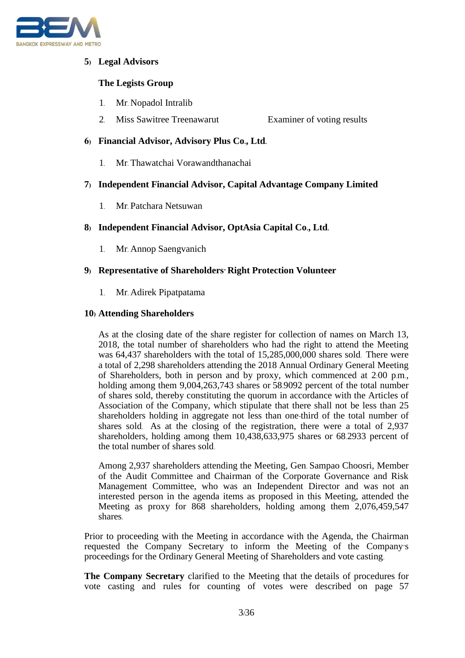

# **5) Legal Advisors**

# **The Legists Group**

- 1. Mr. Nopadol Intralib
- 2. Miss Sawitree Treenawarut Examiner of voting results

#### **6) Financial Advisor, Advisory Plus Co., Ltd.**

1. Mr. Thawatchai Vorawandthanachai

## **7) Independent Financial Advisor, Capital Advantage Company Limited**

1. Mr. Patchara Netsuwan

## **8) Independent Financial Advisor, OptAsia Capital Co., Ltd.**

1. Mr. Annop Saengvanich

### **9) Representative of Shareholders' Right Protection Volunteer**

1. Mr. Adirek Pipatpatama

#### **10) Attending Shareholders**

As at the closing date of the share register for collection of names on March 13, 2018, the total number of shareholders who had the right to attend the Meeting was 64,437 shareholders with the total of 15,285,000,000 shares sold. There were a total of 2,298 shareholders attending the 2018 Annual Ordinary General Meeting of Shareholders, both in person and by proxy, which commenced at 2:00 p.m., holding among them 9,004,263,743 shares or 58.9092 percent of the total number of shares sold, thereby constituting the quorum in accordance with the Articles of Association of the Company, which stipulate that there shall not be less than 25 shareholders holding in aggregate not less than one-third of the total number of shares sold. As at the closing of the registration, there were a total of 2,937 shareholders, holding among them 10,438,633,975 shares or 68.2933 percent of the total number of shares sold.

Among 2,937 shareholders attending the Meeting, Gen. Sampao Choosri, Member of the Audit Committee and Chairman of the Corporate Governance and Risk Management Committee, who was an Independent Director and was not an interested person in the agenda items as proposed in this Meeting, attended the Meeting as proxy for 868 shareholders, holding among them 2,076,459,547 shares.

Prior to proceeding with the Meeting in accordance with the Agenda, the Chairman requested the Company Secretary to inform the Meeting of the Company's proceedings for the Ordinary General Meeting of Shareholders and vote casting.

**The Company Secretary** clarified to the Meeting that the details of procedures for vote casting and rules for counting of votes were described on page 57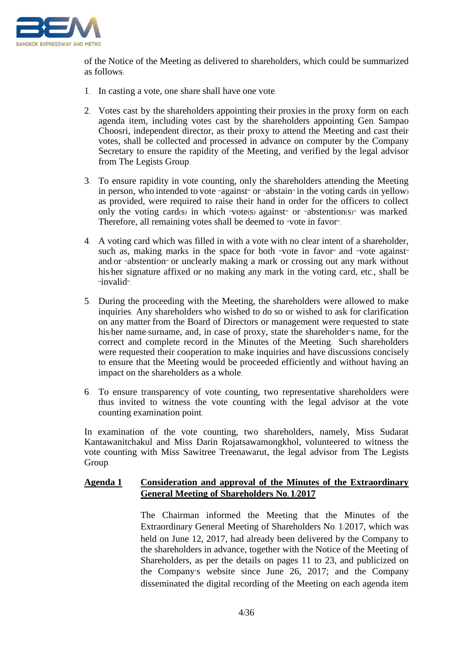

of the Notice of the Meeting as delivered to shareholders, which could be summarized as follows:

- 1. In casting a vote, one share shall have one vote.
- 2. Votes cast by the shareholders appointing their proxies in the proxy form on each agenda item, including votes cast by the shareholders appointing Gen. Sampao Choosri, independent director, as their proxy to attend the Meeting and cast their votes, shall be collected and processed in advance on computer by the Company Secretary to ensure the rapidity of the Meeting, and verified by the legal advisor from The Legists Group.
- 3. To ensure rapidity in vote counting, only the shareholders attending the Meeting in person, who intended to vote "against" or "abstain" in the voting cards (in yellow) as provided, were required to raise their hand in order for the officers to collect only the voting card(s) in which "vote(s) against" or "abstention(s)" was marked. Therefore, all remaining votes shall be deemed to "vote in favor".
- 4. A voting card which was filled in with a vote with no clear intent of a shareholder, such as, making marks in the space for both "vote in favor" and "vote against" and/or "abstention" or unclearly making a mark or crossing out any mark without his/her signature affixed or no making any mark in the voting card, etc., shall be "invalid".
- 5. During the proceeding with the Meeting, the shareholders were allowed to make inquiries. Any shareholders who wished to do so or wished to ask for clarification on any matter from the Board of Directors or management were requested to state his/her name-surname, and, in case of proxy, state the shareholder's name, for the correct and complete record in the Minutes of the Meeting. Such shareholders were requested their cooperation to make inquiries and have discussions concisely to ensure that the Meeting would be proceeded efficiently and without having an impact on the shareholders as a whole.
- 6. To ensure transparency of vote counting, two representative shareholders were thus invited to witness the vote counting with the legal advisor at the vote counting examination point.

In examination of the vote counting, two shareholders, namely, Miss Sudarat Kantawanitchakul and Miss Darin Rojatsawamongkhol, volunteered to witness the vote counting with Miss Sawitree Treenawarut, the legal advisor from The Legists Group.

### **Agenda 1 Consideration and approval of the Minutes of the Extraordinary General Meeting of Shareholders No. 1/2017**

The Chairman informed the Meeting that the Minutes of the Extraordinary General Meeting of Shareholders No. 1/2017, which was held on June 12, 2017, had already been delivered by the Company to the shareholders in advance, together with the Notice of the Meeting of Shareholders, as per the details on pages 11 to 23, and publicized on the Company's website since June 26, 2017; and the Company disseminated the digital recording of the Meeting on each agenda item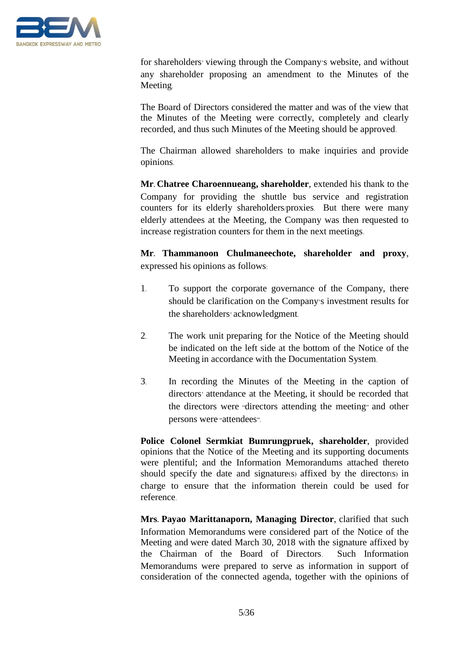

for shareholders' viewing through the Company's website, and without any shareholder proposing an amendment to the Minutes of the Meeting.

The Board of Directors considered the matter and was of the view that the Minutes of the Meeting were correctly, completely and clearly recorded, and thus such Minutes of the Meeting should be approved.

The Chairman allowed shareholders to make inquiries and provide opinions.

**Mr. Chatree Charoennueang, shareholder**, extended his thank to the Company for providing the shuttle bus service and registration counters for its elderly shareholders/proxies. But there were many elderly attendees at the Meeting, the Company was then requested to increase registration counters for them in the next meetings.

**Mr. Thammanoon Chulmaneechote, shareholder and proxy**, expressed his opinions as follows:

- 1. To support the corporate governance of the Company, there should be clarification on the Company's investment results for the shareholders' acknowledgment.
- 2. The work unit preparing for the Notice of the Meeting should be indicated on the left side at the bottom of the Notice of the Meeting in accordance with the Documentation System.
- 3. In recording the Minutes of the Meeting in the caption of directors' attendance at the Meeting, it should be recorded that the directors were "directors attending the meeting" and other persons were "attendees".

**Police Colonel Sermkiat Bumrungpruek, shareholder**, provided opinions that the Notice of the Meeting and its supporting documents were plentiful; and the Information Memorandums attached thereto should specify the date and signature(s) affixed by the director(s) in charge to ensure that the information therein could be used for reference.

**Mrs. Payao Marittanaporn, Managing Director**, clarified that such Information Memorandums were considered part of the Notice of the Meeting and were dated March 30, 2018 with the signature affixed by the Chairman of the Board of Directors. Such Information Memorandums were prepared to serve as information in support of consideration of the connected agenda, together with the opinions of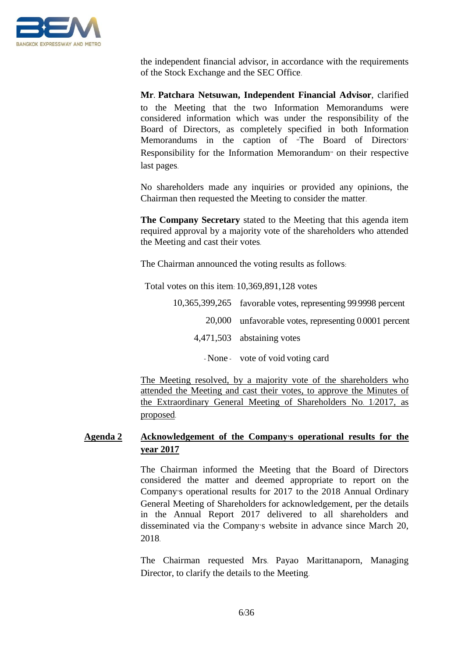

the independent financial advisor, in accordance with the requirements of the Stock Exchange and the SEC Office.

**Mr. Patchara Netsuwan, Independent Financial Advisor**, clarified to the Meeting that the two Information Memorandums were considered information which was under the responsibility of the Board of Directors, as completely specified in both Information Memorandums in the caption of "The Board of Directors' Responsibility for the Information Memorandum" on their respective last pages.

No shareholders made any inquiries or provided any opinions, the Chairman then requested the Meeting to consider the matter.

**The Company Secretary** stated to the Meeting that this agenda item required approval by a majority vote of the shareholders who attended the Meeting and cast their votes.

The Chairman announced the voting results as follows:

Total votes on this item: 10,369,891,128 votes

- 10,365,399,265 favorable votes, representing 99.9998 percent 20,000 unfavorable votes, representing 0.0001 percent 4,471,503 abstaining votes
	- None vote of void voting card

The Meeting resolved, by a majority vote of the shareholders who attended the Meeting and cast their votes, to approve the Minutes of the Extraordinary General Meeting of Shareholders No. 1/2017, as proposed.

# **Agenda 2 Acknowledgement of the Company's operational results for the year 2017**

The Chairman informed the Meeting that the Board of Directors considered the matter and deemed appropriate to report on the Company's operational results for 2017 to the 2018 Annual Ordinary General Meeting of Shareholders for acknowledgement, per the details in the Annual Report 2017 delivered to all shareholders and disseminated via the Company's website in advance since March 20, 2018.

The Chairman requested Mrs. Payao Marittanaporn, Managing Director, to clarify the details to the Meeting.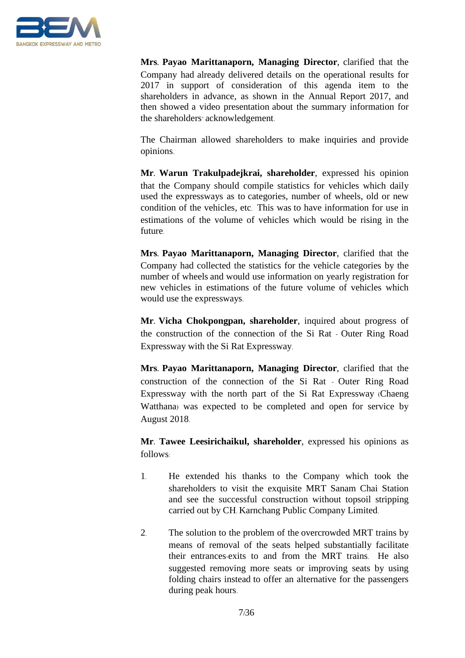

**Mrs. Payao Marittanaporn, Managing Director**, clarified that the Company had already delivered details on the operational results for 2017 in support of consideration of this agenda item to the shareholders in advance, as shown in the Annual Report 2017, and then showed a video presentation about the summary information for the shareholders' acknowledgement.

The Chairman allowed shareholders to make inquiries and provide opinions.

**Mr. Warun Trakulpadejkrai, shareholder**, expressed his opinion that the Company should compile statistics for vehicles which daily used the expressways as to categories, number of wheels, old or new condition of the vehicles, etc. This was to have information for use in estimations of the volume of vehicles which would be rising in the future.

**Mrs. Payao Marittanaporn, Managing Director**, clarified that the Company had collected the statistics for the vehicle categories by the number of wheels and would use information on yearly registration for new vehicles in estimations of the future volume of vehicles which would use the expressways.

**Mr. Vicha Chokpongpan, shareholder**, inquired about progress of the construction of the connection of the Si Rat - Outer Ring Road Expressway with the Si Rat Expressway.

**Mrs. Payao Marittanaporn, Managing Director**, clarified that the construction of the connection of the Si Rat - Outer Ring Road Expressway with the north part of the Si Rat Expressway (Chaeng Watthana) was expected to be completed and open for service by August 2018.

**Mr. Tawee Leesirichaikul, shareholder**, expressed his opinions as follows:

- 1. He extended his thanks to the Company which took the shareholders to visit the exquisite MRT Sanam Chai Station and see the successful construction without topsoil stripping carried out by CH. Karnchang Public Company Limited.
- 2. The solution to the problem of the overcrowded MRT trains by means of removal of the seats helped substantially facilitate their entrances-exits to and from the MRT trains. He also suggested removing more seats or improving seats by using folding chairs instead to offer an alternative for the passengers during peak hours.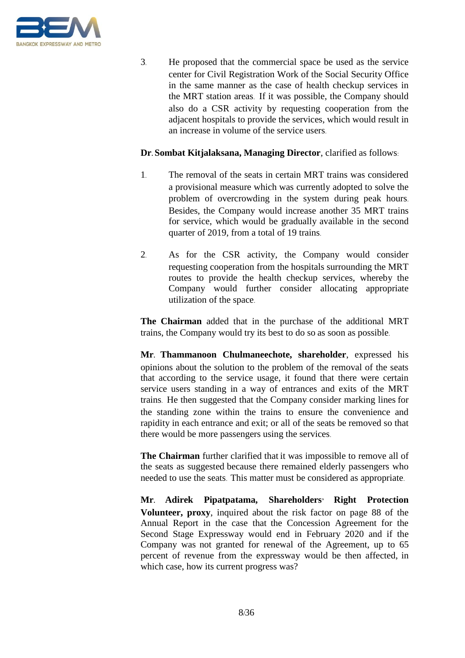

3. He proposed that the commercial space be used as the service center for Civil Registration Work of the Social Security Office in the same manner as the case of health checkup services in the MRT station areas. If it was possible, the Company should also do a CSR activity by requesting cooperation from the adjacent hospitals to provide the services, which would result in an increase in volume of the service users.

### **Dr. Sombat Kitjalaksana, Managing Director**, clarified as follows:

- 1. The removal of the seats in certain MRT trains was considered a provisional measure which was currently adopted to solve the problem of overcrowding in the system during peak hours. Besides, the Company would increase another 35 MRT trains for service, which would be gradually available in the second quarter of 2019, from a total of 19 trains.
- 2. As for the CSR activity, the Company would consider requesting cooperation from the hospitals surrounding the MRT routes to provide the health checkup services, whereby the Company would further consider allocating appropriate utilization of the space.

**The Chairman** added that in the purchase of the additional MRT trains, the Company would try its best to do so as soon as possible.

**Mr. Thammanoon Chulmaneechote, shareholder**, expressed his opinions about the solution to the problem of the removal of the seats that according to the service usage, it found that there were certain service users standing in a way of entrances and exits of the MRT trains. He then suggested that the Company consider marking lines for the standing zone within the trains to ensure the convenience and rapidity in each entrance and exit; or all of the seats be removed so that there would be more passengers using the services.

**The Chairman** further clarified that it was impossible to remove all of the seats as suggested because there remained elderly passengers who needed to use the seats. This matter must be considered as appropriate.

**Mr. Adirek Pipatpatama, Shareholders' Right Protection Volunteer, proxy**, inquired about the risk factor on page 88 of the Annual Report in the case that the Concession Agreement for the Second Stage Expressway would end in February 2020 and if the Company was not granted for renewal of the Agreement, up to 65 percent of revenue from the expressway would be then affected, in which case, how its current progress was?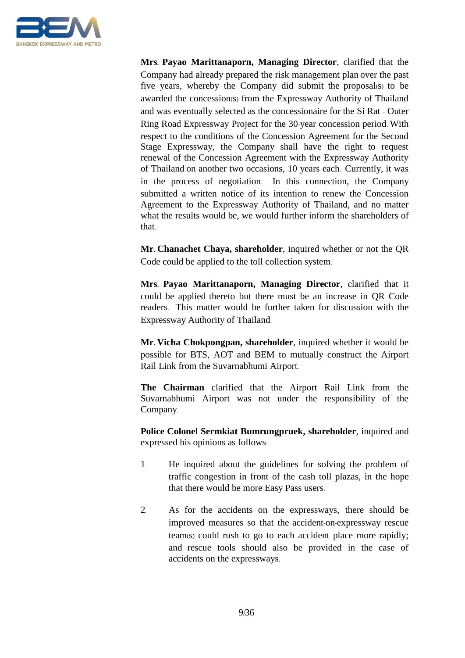

**Mrs. Payao Marittanaporn, Managing Director**, clarified that the Company had already prepared the risk management plan over the past five years, whereby the Company did submit the proposal(s) to be awarded the concession(s) from the Expressway Authority of Thailand and was eventually selected as the concessionaire for the Si Rat - Outer Ring Road Expressway Project for the 30-year concession period. With respect to the conditions of the Concession Agreement for the Second Stage Expressway, the Company shall have the right to request renewal of the Concession Agreement with the Expressway Authority of Thailand on another two occasions, 10 years each. Currently, it was in the process of negotiation. In this connection, the Company submitted a written notice of its intention to renew the Concession Agreement to the Expressway Authority of Thailand, and no matter what the results would be, we would further inform the shareholders of that.

**Mr. Chanachet Chaya, shareholder**, inquired whether or not the QR Code could be applied to the toll collection system.

**Mrs. Payao Marittanaporn, Managing Director**, clarified that it could be applied thereto but there must be an increase in QR Code readers. This matter would be further taken for discussion with the Expressway Authority of Thailand.

**Mr. Vicha Chokpongpan, shareholder**, inquired whether it would be possible for BTS, AOT and BEM to mutually construct the Airport Rail Link from the Suvarnabhumi Airport.

**The Chairman** clarified that the Airport Rail Link from the Suvarnabhumi Airport was not under the responsibility of the Company.

**Police Colonel Sermkiat Bumrungpruek, shareholder**, inquired and expressed his opinions as follows:

- 1. He inquired about the guidelines for solving the problem of traffic congestion in front of the cash toll plazas, in the hope that there would be more Easy Pass users.
- 2. As for the accidents on the expressways, there should be improved measures so that the accident-on-expressway rescue team(s) could rush to go to each accident place more rapidly; and rescue tools should also be provided in the case of accidents on the expressways.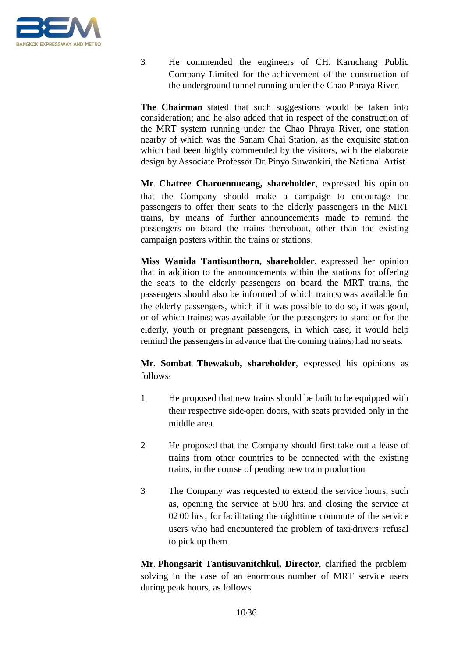

3. He commended the engineers of CH. Karnchang Public Company Limited for the achievement of the construction of the underground tunnel running under the Chao Phraya River.

**The Chairman** stated that such suggestions would be taken into consideration; and he also added that in respect of the construction of the MRT system running under the Chao Phraya River, one station nearby of which was the Sanam Chai Station, as the exquisite station which had been highly commended by the visitors, with the elaborate design by Associate Professor Dr. Pinyo Suwankiri, the National Artist.

**Mr. Chatree Charoennueang, shareholder**, expressed his opinion that the Company should make a campaign to encourage the passengers to offer their seats to the elderly passengers in the MRT trains, by means of further announcements made to remind the passengers on board the trains thereabout, other than the existing campaign posters within the trains or stations.

**Miss Wanida Tantisunthorn, shareholder**, expressed her opinion that in addition to the announcements within the stations for offering the seats to the elderly passengers on board the MRT trains, the passengers should also be informed of which train(s) was available for the elderly passengers, which if it was possible to do so, it was good, or of which train(s) was available for the passengers to stand or for the elderly, youth or pregnant passengers, in which case, it would help remind the passengers in advance that the coming train(s) had no seats.

**Mr. Sombat Thewakub, shareholder**, expressed his opinions as follows:

- 1. He proposed that new trains should be built to be equipped with their respective side-open doors, with seats provided only in the middle area.
- 2. He proposed that the Company should first take out a lease of trains from other countries to be connected with the existing trains, in the course of pending new train production.
- 3. The Company was requested to extend the service hours, such as, opening the service at 5.00 hrs. and closing the service at 02.00 hrs., for facilitating the nighttime commute of the service users who had encountered the problem of taxi-drivers' refusal to pick up them.

**Mr. Phongsarit Tantisuvanitchkul, Director**, clarified the problemsolving in the case of an enormous number of MRT service users during peak hours, as follows: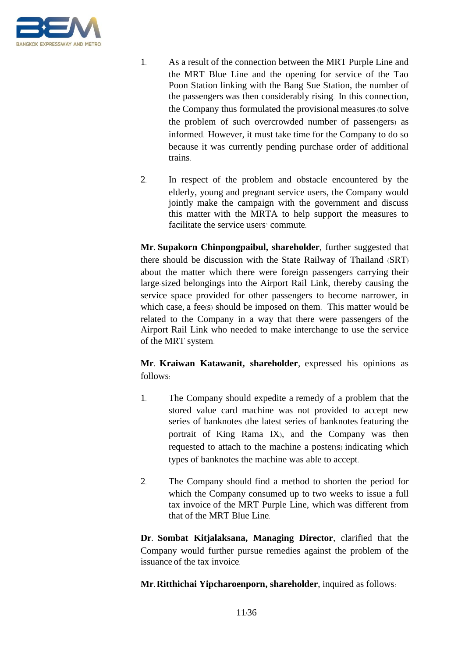

- 1. As a result of the connection between the MRT Purple Line and the MRT Blue Line and the opening for service of the Tao Poon Station linking with the Bang Sue Station, the number of the passengers was then considerably rising. In this connection, the Company thus formulated the provisional measures (to solve the problem of such overcrowded number of passengers) as informed. However, it must take time for the Company to do so because it was currently pending purchase order of additional trains.
- 2. In respect of the problem and obstacle encountered by the elderly, young and pregnant service users, the Company would jointly make the campaign with the government and discuss this matter with the MRTA to help support the measures to facilitate the service users' commute.

**Mr. Supakorn Chinpongpaibul, shareholder**, further suggested that there should be discussion with the State Railway of Thailand (SRT) about the matter which there were foreign passengers carrying their large-sized belongings into the Airport Rail Link, thereby causing the service space provided for other passengers to become narrower, in which case, a fee(s) should be imposed on them. This matter would be related to the Company in a way that there were passengers of the Airport Rail Link who needed to make interchange to use the service of the MRT system.

**Mr. Kraiwan Katawanit, shareholder**, expressed his opinions as follows:

- 1. The Company should expedite a remedy of a problem that the stored value card machine was not provided to accept new series of banknotes (the latest series of banknotes featuring the portrait of King Rama IX), and the Company was then requested to attach to the machine a poster(s) indicating which types of banknotes the machine was able to accept.
- 2. The Company should find a method to shorten the period for which the Company consumed up to two weeks to issue a full tax invoice of the MRT Purple Line, which was different from that of the MRT Blue Line.

**Dr. Sombat Kitjalaksana, Managing Director**, clarified that the Company would further pursue remedies against the problem of the issuance of the tax invoice.

**Mr. Ritthichai Yipcharoenporn, shareholder**, inquired as follows: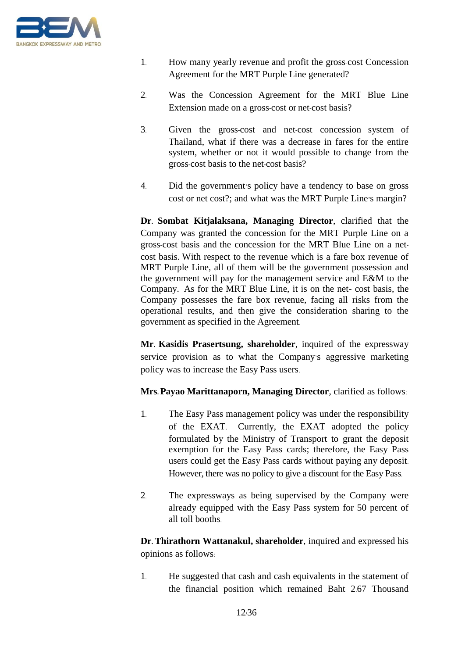

- 1. How many yearly revenue and profit the gross-cost Concession Agreement for the MRT Purple Line generated?
- 2. Was the Concession Agreement for the MRT Blue Line Extension made on a gross-cost or net-cost basis?
- 3. Given the gross-cost and net-cost concession system of Thailand, what if there was a decrease in fares for the entire system, whether or not it would possible to change from the gross-cost basis to the net-cost basis?
- 4. Did the government's policy have a tendency to base on gross cost or net cost?; and what was the MRT Purple Line's margin?

**Dr. Sombat Kitjalaksana, Managing Director**, clarified that the Company was granted the concession for the MRT Purple Line on a gross-cost basis and the concession for the MRT Blue Line on a netcost basis. With respect to the revenue which is a fare box revenue of MRT Purple Line, all of them will be the government possession and the government will pay for the management service and E&M to the Company. As for the MRT Blue Line, it is on the net- cost basis, the Company possesses the fare box revenue, facing all risks from the operational results, and then give the consideration sharing to the government as specified in the Agreement.

**Mr. Kasidis Prasertsung, shareholder**, inquired of the expressway service provision as to what the Company's aggressive marketing policy was to increase the Easy Pass users.

**Mrs. Payao Marittanaporn, Managing Director**, clarified as follows:

- 1. The Easy Pass management policy was under the responsibility of the EXAT. Currently, the EXAT adopted the policy formulated by the Ministry of Transport to grant the deposit exemption for the Easy Pass cards; therefore, the Easy Pass users could get the Easy Pass cards without paying any deposit. However, there was no policy to give a discount for the Easy Pass.
- 2. The expressways as being supervised by the Company were already equipped with the Easy Pass system for 50 percent of all toll booths.

**Dr. Thirathorn Wattanakul, shareholder**, inquired and expressed his opinions as follows:

1. He suggested that cash and cash equivalents in the statement of the financial position which remained Baht 2.67 Thousand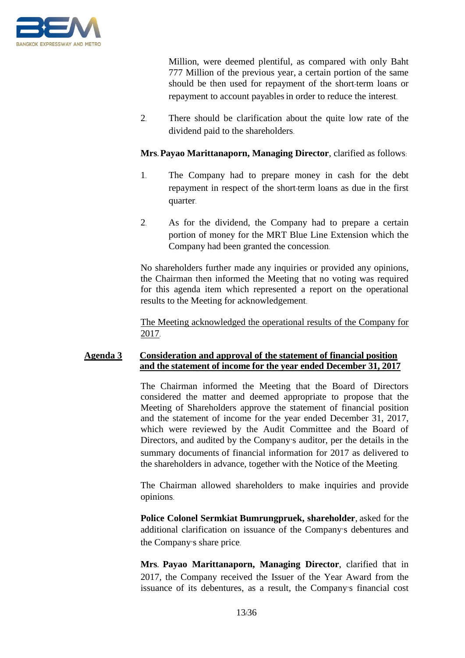

Million, were deemed plentiful, as compared with only Baht 777 Million of the previous year, a certain portion of the same should be then used for repayment of the short-term loans or repayment to account payables in order to reduce the interest.

2. There should be clarification about the quite low rate of the dividend paid to the shareholders.

### **Mrs. Payao Marittanaporn, Managing Director**, clarified as follows:

- 1. The Company had to prepare money in cash for the debt repayment in respect of the short-term loans as due in the first quarter.
- 2. As for the dividend, the Company had to prepare a certain portion of money for the MRT Blue Line Extension which the Company had been granted the concession.

No shareholders further made any inquiries or provided any opinions, the Chairman then informed the Meeting that no voting was required for this agenda item which represented a report on the operational results to the Meeting for acknowledgement.

The Meeting acknowledged the operational results of the Company for 2017.

### **Agenda 3 Consideration and approval of the statement of financial position and the statement of income for the year ended December 31, 2017**

The Chairman informed the Meeting that the Board of Directors considered the matter and deemed appropriate to propose that the Meeting of Shareholders approve the statement of financial position and the statement of income for the year ended December 31, 2017, which were reviewed by the Audit Committee and the Board of Directors, and audited by the Company's auditor, per the details in the summary documents of financial information for 2017 as delivered to the shareholders in advance, together with the Notice of the Meeting.

The Chairman allowed shareholders to make inquiries and provide opinions.

**Police Colonel Sermkiat Bumrungpruek, shareholder**, asked for the additional clarification on issuance of the Company's debentures and the Company's share price.

**Mrs. Payao Marittanaporn, Managing Director**, clarified that in 2017, the Company received the Issuer of the Year Award from the issuance of its debentures, as a result, the Company's financial cost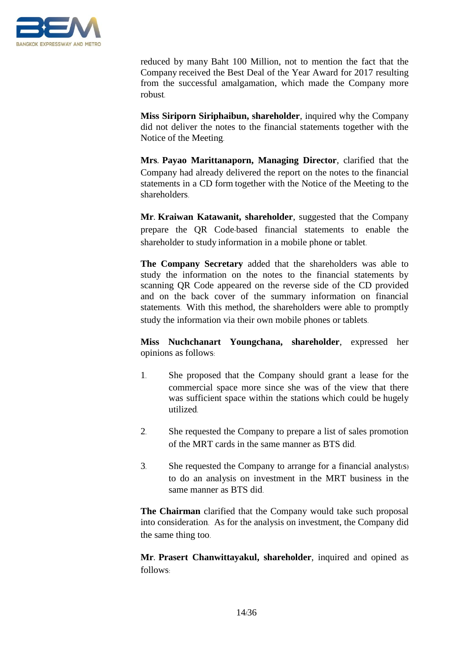

reduced by many Baht 100 Million, not to mention the fact that the Company received the Best Deal of the Year Award for 2017 resulting from the successful amalgamation, which made the Company more robust.

**Miss Siriporn Siriphaibun, shareholder**, inquired why the Company did not deliver the notes to the financial statements together with the Notice of the Meeting.

**Mrs. Payao Marittanaporn, Managing Director**, clarified that the Company had already delivered the report on the notes to the financial statements in a CD form together with the Notice of the Meeting to the shareholders.

**Mr. Kraiwan Katawanit, shareholder**, suggested that the Company prepare the QR Code-based financial statements to enable the shareholder to study information in a mobile phone or tablet.

**The Company Secretary** added that the shareholders was able to study the information on the notes to the financial statements by scanning QR Code appeared on the reverse side of the CD provided and on the back cover of the summary information on financial statements. With this method, the shareholders were able to promptly study the information via their own mobile phones or tablets.

**Miss Nuchchanart Youngchana, shareholder**, expressed her opinions as follows:

- 1. She proposed that the Company should grant a lease for the commercial space more since she was of the view that there was sufficient space within the stations which could be hugely utilized.
- 2. She requested the Company to prepare a list of sales promotion of the MRT cards in the same manner as BTS did.
- 3. She requested the Company to arrange for a financial analyst(s) to do an analysis on investment in the MRT business in the same manner as BTS did.

**The Chairman** clarified that the Company would take such proposal into consideration. As for the analysis on investment, the Company did the same thing too.

**Mr. Prasert Chanwittayakul, shareholder**, inquired and opined as follows: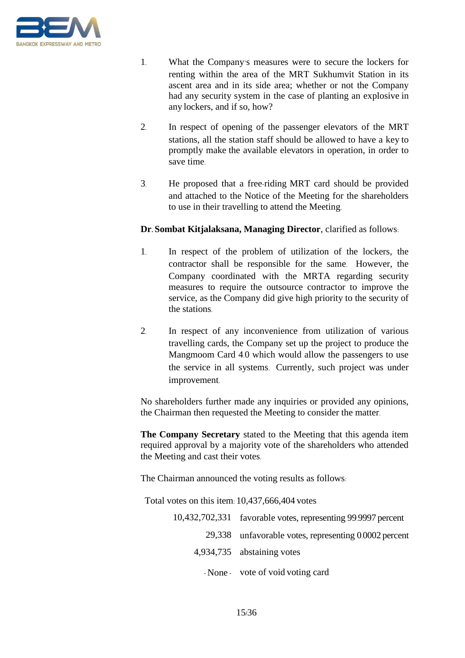

- 1. What the Company's measures were to secure the lockers for renting within the area of the MRT Sukhumvit Station in its ascent area and in its side area; whether or not the Company had any security system in the case of planting an explosive in any lockers, and if so, how?
- 2. In respect of opening of the passenger elevators of the MRT stations, all the station staff should be allowed to have a key to promptly make the available elevators in operation, in order to save time.
- 3. He proposed that a free-riding MRT card should be provided and attached to the Notice of the Meeting for the shareholders to use in their travelling to attend the Meeting.

### **Dr. Sombat Kitjalaksana, Managing Director**, clarified as follows:

- 1. In respect of the problem of utilization of the lockers, the contractor shall be responsible for the same. However, the Company coordinated with the MRTA regarding security measures to require the outsource contractor to improve the service, as the Company did give high priority to the security of the stations.
- 2. In respect of any inconvenience from utilization of various travelling cards, the Company set up the project to produce the Mangmoom Card 4.0 which would allow the passengers to use the service in all systems. Currently, such project was under improvement.

No shareholders further made any inquiries or provided any opinions, the Chairman then requested the Meeting to consider the matter.

**The Company Secretary** stated to the Meeting that this agenda item required approval by a majority vote of the shareholders who attended the Meeting and cast their votes.

The Chairman announced the voting results as follows:

Total votes on this item: 10,437,666,404 votes

| 10,432,702,331 favorable votes, representing 99.9997 percent |
|--------------------------------------------------------------|
| 29,338 unfavorable votes, representing 0.0002 percent        |
| 4,934,735 abstaining votes                                   |
| - None vote of void voting card                              |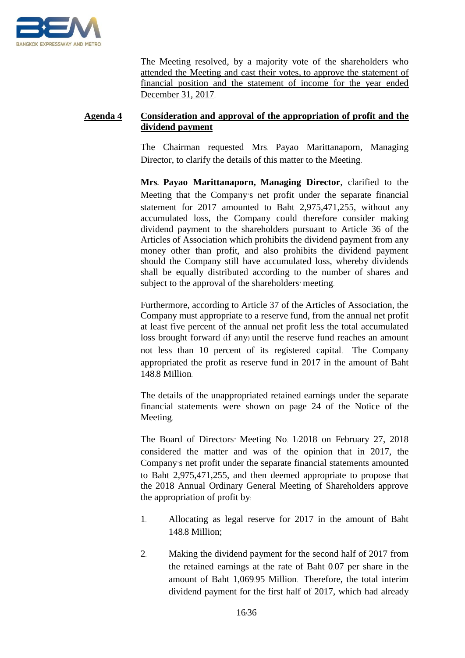

The Meeting resolved, by a majority vote of the shareholders who attended the Meeting and cast their votes, to approve the statement of financial position and the statement of income for the year ended December 31, 2017.

## **Agenda 4 Consideration and approval of the appropriation of profit and the dividend payment**

The Chairman requested Mrs. Payao Marittanaporn, Managing Director, to clarify the details of this matter to the Meeting.

**Mrs. Payao Marittanaporn, Managing Director**, clarified to the Meeting that the Company's net profit under the separate financial statement for 2017 amounted to Baht 2,975,471,255, without any accumulated loss, the Company could therefore consider making dividend payment to the shareholders pursuant to Article 36 of the Articles of Association which prohibits the dividend payment from any money other than profit, and also prohibits the dividend payment should the Company still have accumulated loss, whereby dividends shall be equally distributed according to the number of shares and subject to the approval of the shareholders' meeting.

Furthermore, according to Article 37 of the Articles of Association, the Company must appropriate to a reserve fund, from the annual net profit at least five percent of the annual net profit less the total accumulated loss brought forward (if any) until the reserve fund reaches an amount not less than 10 percent of its registered capital. The Company appropriated the profit as reserve fund in 2017 in the amount of Baht 148.8 Million.

The details of the unappropriated retained earnings under the separate financial statements were shown on page 24 of the Notice of the Meeting.

The Board of Directors' Meeting No. 1/2018 on February 27, 2018 considered the matter and was of the opinion that in 2017, the Company's net profit under the separate financial statements amounted to Baht 2,975,471,255, and then deemed appropriate to propose that the 2018 Annual Ordinary General Meeting of Shareholders approve the appropriation of profit by:

- 1. Allocating as legal reserve for 2017 in the amount of Baht 148.8 Million;
- 2. Making the dividend payment for the second half of 2017 from the retained earnings at the rate of Baht 0.07 per share in the amount of Baht 1,069.95 Million. Therefore, the total interim dividend payment for the first half of 2017, which had already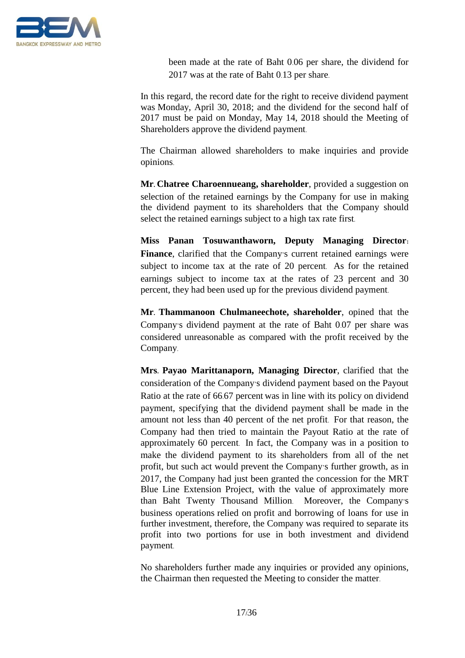

been made at the rate of Baht 0.06 per share, the dividend for 2017 was at the rate of Baht 0.13 per share.

In this regard, the record date for the right to receive dividend payment was Monday, April 30, 2018; and the dividend for the second half of 2017 must be paid on Monday, May 14, 2018 should the Meeting of Shareholders approve the dividend payment.

The Chairman allowed shareholders to make inquiries and provide opinions.

**Mr. Chatree Charoennueang, shareholder**, provided a suggestion on selection of the retained earnings by the Company for use in making the dividend payment to its shareholders that the Company should select the retained earnings subject to a high tax rate first.

**Miss Panan Tosuwanthaworn, Deputy Managing Director: Finance**, clarified that the Company's current retained earnings were subject to income tax at the rate of 20 percent. As for the retained earnings subject to income tax at the rates of 23 percent and 30 percent, they had been used up for the previous dividend payment.

**Mr. Thammanoon Chulmaneechote, shareholder**, opined that the Company's dividend payment at the rate of Baht 0.07 per share was considered unreasonable as compared with the profit received by the Company.

**Mrs. Payao Marittanaporn, Managing Director**, clarified that the consideration of the Company's dividend payment based on the Payout Ratio at the rate of 66.67 percent was in line with its policy on dividend payment, specifying that the dividend payment shall be made in the amount not less than 40 percent of the net profit. For that reason, the Company had then tried to maintain the Payout Ratio at the rate of approximately 60 percent. In fact, the Company was in a position to make the dividend payment to its shareholders from all of the net profit, but such act would prevent the Company's further growth, as in 2017, the Company had just been granted the concession for the MRT Blue Line Extension Project, with the value of approximately more than Baht Twenty Thousand Million. Moreover, the Company's business operations relied on profit and borrowing of loans for use in further investment, therefore, the Company was required to separate its profit into two portions for use in both investment and dividend payment.

No shareholders further made any inquiries or provided any opinions, the Chairman then requested the Meeting to consider the matter.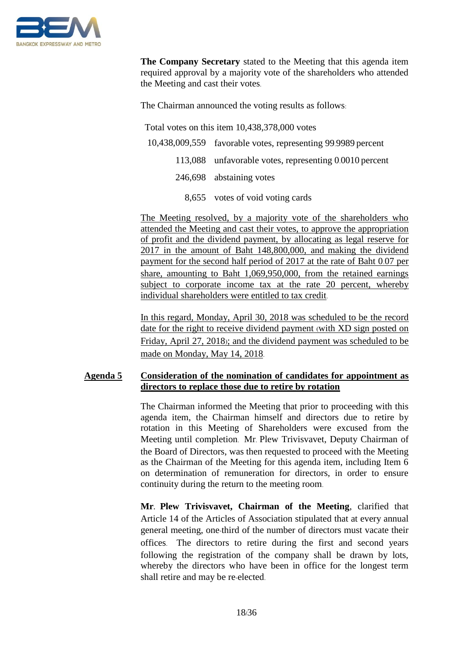

**The Company Secretary** stated to the Meeting that this agenda item required approval by a majority vote of the shareholders who attended the Meeting and cast their votes.

The Chairman announced the voting results as follows:

Total votes on this item 10,438,378,000 votes

- 10,438,009,559 favorable votes, representing 99.9989 percent
	- 113,088 unfavorable votes, representing 0.0010 percent
		- 246,698 abstaining votes
			- 8,655 votes of void voting cards

The Meeting resolved, by a majority vote of the shareholders who attended the Meeting and cast their votes, to approve the appropriation of profit and the dividend payment, by allocating as legal reserve for 2017 in the amount of Baht 148,800,000, and making the dividend payment for the second half period of 2017 at the rate of Baht 0.07 per share, amounting to Baht 1,069,950,000, from the retained earnings subject to corporate income tax at the rate 20 percent, whereby individual shareholders were entitled to tax credit.

In this regard, Monday, April 30, 2018 was scheduled to be the record date for the right to receive dividend payment (with XD sign posted on Friday, April 27, 2018); and the dividend payment was scheduled to be made on Monday, May 14, 2018.

## **Agenda 5 Consideration of the nomination of candidates for appointment as directors to replace those due to retire by rotation**

The Chairman informed the Meeting that prior to proceeding with this agenda item, the Chairman himself and directors due to retire by rotation in this Meeting of Shareholders were excused from the Meeting until completion. Mr. Plew Trivisvavet, Deputy Chairman of the Board of Directors, was then requested to proceed with the Meeting as the Chairman of the Meeting for this agenda item, including Item 6 on determination of remuneration for directors, in order to ensure continuity during the return to the meeting room.

**Mr. Plew Trivisvavet, Chairman of the Meeting**, clarified that Article 14 of the Articles of Association stipulated that at every annual general meeting, one-third of the number of directors must vacate their offices. The directors to retire during the first and second years following the registration of the company shall be drawn by lots, whereby the directors who have been in office for the longest term shall retire and may be re-elected.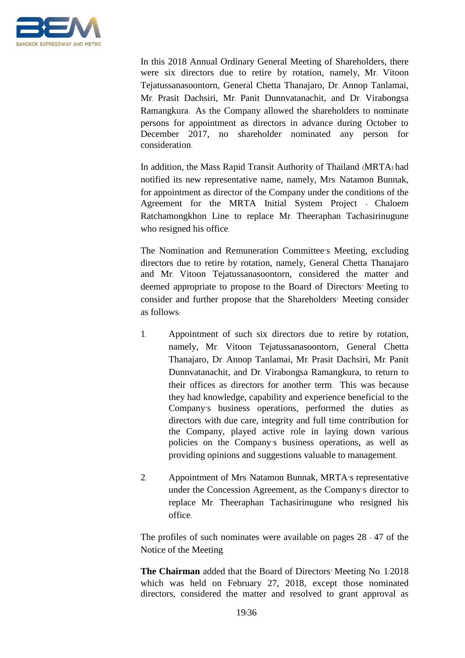

In this 2018 Annual Ordinary General Meeting of Shareholders, there were six directors due to retire by rotation, namely, Mr. Vitoon Tejatussanasoontorn, General Chetta Thanajaro, Dr. Annop Tanlamai, Mr. Prasit Dachsiri, Mr. Panit Dunnvatanachit, and Dr. Virabongsa Ramangkura. As the Company allowed the shareholders to nominate persons for appointment as directors in advance during October to December 2017, no shareholder nominated any person for consideration.

In addition, the Mass Rapid Transit Authority of Thailand (MRTA) had notified its new representative name, namely, Mrs. Natamon Bunnak, for appointment as director of the Company under the conditions of the Agreement for the MRTA Initial System Project - Chaloem Ratchamongkhon Line to replace Mr. Theeraphan Tachasirinugune who resigned his office.

The Nomination and Remuneration Committee's Meeting, excluding directors due to retire by rotation, namely, General Chetta Thanajaro and Mr. Vitoon Tejatussanasoontorn, considered the matter and deemed appropriate to propose to the Board of Directors' Meeting to consider and further propose that the Shareholders' Meeting consider as follows:

- 1. Appointment of such six directors due to retire by rotation, namely, Mr. Vitoon Tejatussanasoontorn, General Chetta Thanajaro, Dr. Annop Tanlamai, Mr. Prasit Dachsiri, Mr. Panit Dunnvatanachit, and Dr. Virabongsa Ramangkura, to return to their offices as directors for another term. This was because they had knowledge, capability and experience beneficial to the Company's business operations, performed the duties as directors with due care, integrity and full time contribution for the Company, played active role in laying down various policies on the Company's business operations, as well as providing opinions and suggestions valuable to management.
- 2. Appointment of Mrs. Natamon Bunnak, MRTA's representative under the Concession Agreement, as the Company's director to replace Mr. Theeraphan Tachasirinugune who resigned his office.

The profiles of such nominates were available on pages 28 - 47 of the Notice of the Meeting.

**The Chairman** added that the Board of Directors' Meeting No. 1/2018 which was held on February 27, 2018, except those nominated directors, considered the matter and resolved to grant approval as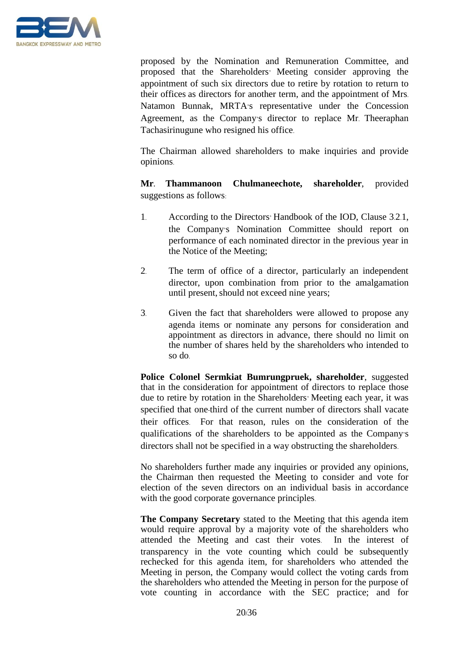

proposed by the Nomination and Remuneration Committee, and proposed that the Shareholders' Meeting consider approving the appointment of such six directors due to retire by rotation to return to their offices as directors for another term, and the appointment of Mrs. Natamon Bunnak, MRTA's representative under the Concession Agreement, as the Company's director to replace Mr. Theeraphan Tachasirinugune who resigned his office.

The Chairman allowed shareholders to make inquiries and provide opinions.

**Mr. Thammanoon Chulmaneechote, shareholder**, provided suggestions as follows:

- 1. According to the Directors' Handbook of the IOD, Clause 3.2.1, the Company's Nomination Committee should report on performance of each nominated director in the previous year in the Notice of the Meeting;
- 2. The term of office of a director, particularly an independent director, upon combination from prior to the amalgamation until present, should not exceed nine years;
- 3. Given the fact that shareholders were allowed to propose any agenda items or nominate any persons for consideration and appointment as directors in advance, there should no limit on the number of shares held by the shareholders who intended to so do.

**Police Colonel Sermkiat Bumrungpruek, shareholder**, suggested that in the consideration for appointment of directors to replace those due to retire by rotation in the Shareholders' Meeting each year, it was specified that one-third of the current number of directors shall vacate their offices. For that reason, rules on the consideration of the qualifications of the shareholders to be appointed as the Company's directors shall not be specified in a way obstructing the shareholders.

No shareholders further made any inquiries or provided any opinions, the Chairman then requested the Meeting to consider and vote for election of the seven directors on an individual basis in accordance with the good corporate governance principles.

**The Company Secretary** stated to the Meeting that this agenda item would require approval by a majority vote of the shareholders who attended the Meeting and cast their votes. In the interest of transparency in the vote counting which could be subsequently rechecked for this agenda item, for shareholders who attended the Meeting in person, the Company would collect the voting cards from the shareholders who attended the Meeting in person for the purpose of vote counting in accordance with the SEC practice; and for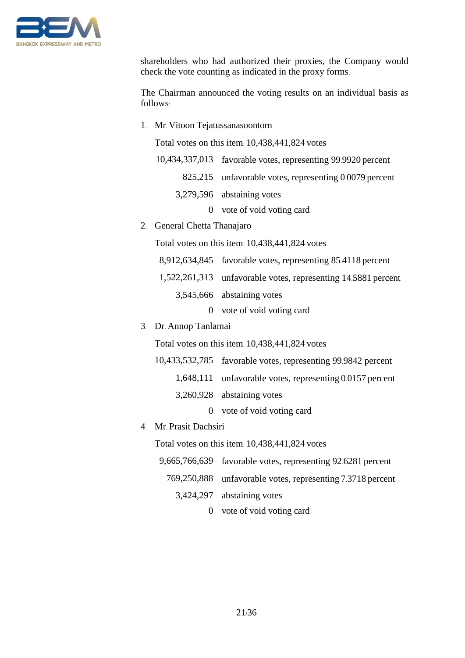

shareholders who had authorized their proxies, the Company would check the vote counting as indicated in the proxy forms.

The Chairman announced the voting results on an individual basis as follows:

1. Mr. Vitoon Tejatussanasoontorn

Total votes on this item: 10,438,441,824 votes

- 10,434,337,013 favorable votes, representing 99.9920 percent 825,215 unfavorable votes, representing 0.0079 percent
	- 3,279,596 abstaining votes
		- 0 vote of void voting card
- 2. General Chetta Thanajaro

Total votes on this item: 10,438,441,824 votes

- 8,912,634,845 favorable votes, representing 85.4118 percent
- 1,522,261,313 unfavorable votes, representing 14.5881 percent
	- 3,545,666 abstaining votes
		- 0 vote of void voting card
- 3. Dr. Annop Tanlamai

Total votes on this item: 10,438,441,824 votes

- 10,433,532,785 favorable votes, representing 99.9842 percent
	- 1,648,111 unfavorable votes, representing 0.0157 percent
		- 3,260,928 abstaining votes
			- 0 vote of void voting card
- 4. Mr. Prasit Dachsiri

Total votes on this item: 10,438,441,824 votes

- 9,665,766,639 favorable votes, representing 92.6281 percent
- 769,250,888 unfavorable votes, representing 7.3718 percent
	- 3,424,297 abstaining votes
		- 0 vote of void voting card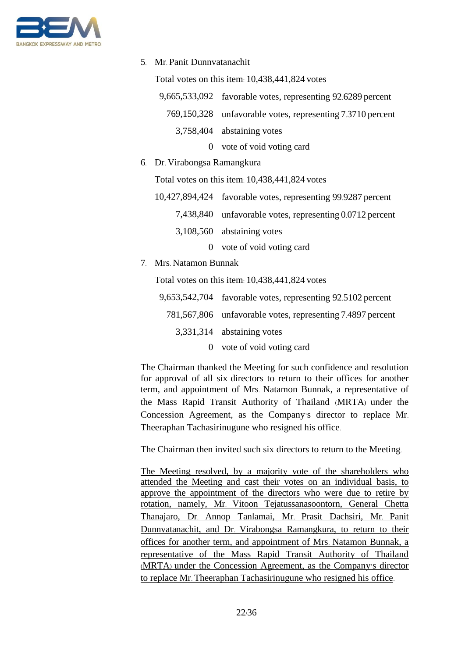

5. Mr. Panit Dunnvatanachit

Total votes on this item: 10,438,441,824 votes

| 9,665,533,092 favorable votes, representing 92.6289 percent |
|-------------------------------------------------------------|
| 769,150,328 unfavorable votes, representing 7.3710 percent  |
| 3,758,404 abstaining votes                                  |

- 0 vote of void voting card
- 6. Dr. Virabongsa Ramangkura

Total votes on this item: 10,438,441,824 votes

| 10,427,894,424 favorable votes, representing 99.9287 percent |
|--------------------------------------------------------------|
| 7,438,840 unfavorable votes, representing 0.0712 percent     |
| 3,108,560 abstaining votes                                   |
| 0 vote of void voting card                                   |

7. Mrs. Natamon Bunnak

Total votes on this item: 10,438,441,824 votes

| 9,653,542,704 favorable votes, representing 92.5102 percent |
|-------------------------------------------------------------|
| 781,567,806 unfavorable votes, representing 7.4897 percent  |
| 3,331,314 abstaining votes                                  |
| 0 vote of void voting card                                  |

The Chairman thanked the Meeting for such confidence and resolution for approval of all six directors to return to their offices for another term, and appointment of Mrs. Natamon Bunnak, a representative of the Mass Rapid Transit Authority of Thailand (MRTA) under the Concession Agreement, as the Company's director to replace Mr. Theeraphan Tachasirinugune who resigned his office.

The Chairman then invited such six directors to return to the Meeting.

The Meeting resolved, by a majority vote of the shareholders who attended the Meeting and cast their votes on an individual basis, to approve the appointment of the directors who were due to retire by rotation, namely, Mr. Vitoon Tejatussanasoontorn, General Chetta Thanajaro, Dr. Annop Tanlamai, Mr. Prasit Dachsiri, Mr. Panit Dunnvatanachit, and Dr. Virabongsa Ramangkura, to return to their offices for another term, and appointment of Mrs. Natamon Bunnak, a representative of the Mass Rapid Transit Authority of Thailand (MRTA) under the Concession Agreement, as the Company's director to replace Mr. Theeraphan Tachasirinugune who resigned his office.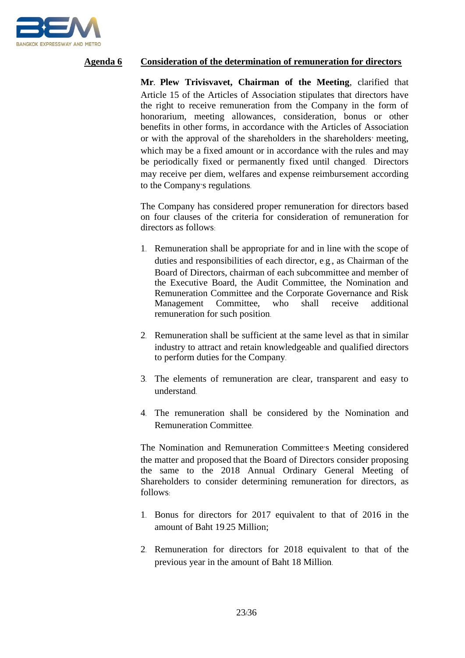

### **Agenda 6 Consideration of the determination of remuneration for directors**

**Mr. Plew Trivisvavet, Chairman of the Meeting**, clarified that Article 15 of the Articles of Association stipulates that directors have the right to receive remuneration from the Company in the form of honorarium, meeting allowances, consideration, bonus or other benefits in other forms, in accordance with the Articles of Association or with the approval of the shareholders in the shareholders' meeting, which may be a fixed amount or in accordance with the rules and may be periodically fixed or permanently fixed until changed. Directors may receive per diem, welfares and expense reimbursement according to the Company's regulations.

The Company has considered proper remuneration for directors based on four clauses of the criteria for consideration of remuneration for directors as follows:

- 1. Remuneration shall be appropriate for and in line with the scope of duties and responsibilities of each director, e.g., as Chairman of the Board of Directors, chairman of each subcommittee and member of the Executive Board, the Audit Committee, the Nomination and Remuneration Committee and the Corporate Governance and Risk Management Committee, who shall receive additional remuneration for such position.
- 2. Remuneration shall be sufficient at the same level as that in similar industry to attract and retain knowledgeable and qualified directors to perform duties for the Company.
- 3. The elements of remuneration are clear, transparent and easy to understand.
- 4. The remuneration shall be considered by the Nomination and Remuneration Committee.

The Nomination and Remuneration Committee's Meeting considered the matter and proposed that the Board of Directors consider proposing the same to the 2018 Annual Ordinary General Meeting of Shareholders to consider determining remuneration for directors, as follows:

- 1. Bonus for directors for 2017 equivalent to that of 2016 in the amount of Baht 19.25 Million;
- 2. Remuneration for directors for 2018 equivalent to that of the previous year in the amount of Baht 18 Million.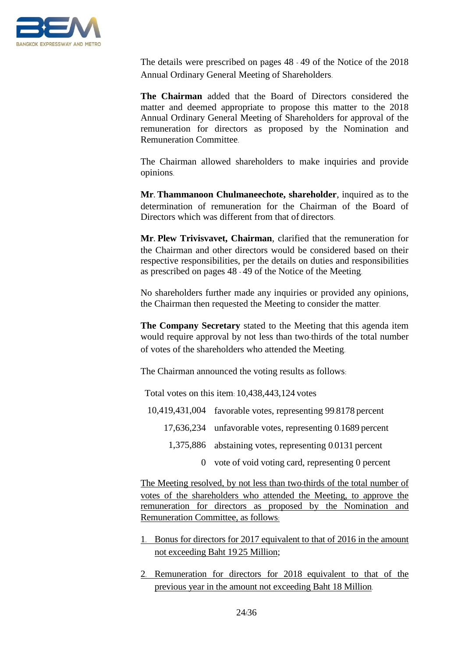

The details were prescribed on pages 48 - 49 of the Notice of the 2018 Annual Ordinary General Meeting of Shareholders.

**The Chairman** added that the Board of Directors considered the matter and deemed appropriate to propose this matter to the 2018 Annual Ordinary General Meeting of Shareholders for approval of the remuneration for directors as proposed by the Nomination and Remuneration Committee.

The Chairman allowed shareholders to make inquiries and provide opinions.

**Mr. Thammanoon Chulmaneechote, shareholder**, inquired as to the determination of remuneration for the Chairman of the Board of Directors which was different from that of directors.

**Mr. Plew Trivisvavet, Chairman**, clarified that the remuneration for the Chairman and other directors would be considered based on their respective responsibilities, per the details on duties and responsibilities as prescribed on pages 48 - 49 of the Notice of the Meeting.

No shareholders further made any inquiries or provided any opinions, the Chairman then requested the Meeting to consider the matter.

**The Company Secretary** stated to the Meeting that this agenda item would require approval by not less than two-thirds of the total number of votes of the shareholders who attended the Meeting.

The Chairman announced the voting results as follows:

Total votes on this item: 10,438,443,124 votes

- 10,419,431,004 favorable votes, representing 99.8178 percent
	- 17,636,234 unfavorable votes, representing 0.1689 percent
		- 1,375,886 abstaining votes, representing 0.0131 percent
			- 0 vote of void voting card, representing 0 percent

The Meeting resolved, by not less than two-thirds of the total number of votes of the shareholders who attended the Meeting, to approve the remuneration for directors as proposed by the Nomination and Remuneration Committee, as follows:

- 1. Bonus for directors for 2017 equivalent to that of 2016 in the amount not exceeding Baht 19.25 Million;
- 2. Remuneration for directors for 2018 equivalent to that of the previous year in the amount not exceeding Baht 18 Million.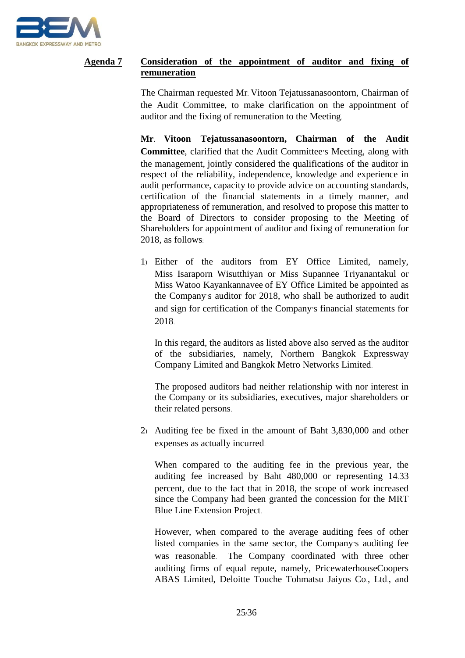

## **Agenda 7 Consideration of the appointment of auditor and fixing of remuneration**

The Chairman requested Mr. Vitoon Tejatussanasoontorn, Chairman of the Audit Committee, to make clarification on the appointment of auditor and the fixing of remuneration to the Meeting.

**Mr. Vitoon Tejatussanasoontorn, Chairman of the Audit Committee**, clarified that the Audit Committee's Meeting, along with the management, jointly considered the qualifications of the auditor in respect of the reliability, independence, knowledge and experience in audit performance, capacity to provide advice on accounting standards, certification of the financial statements in a timely manner, and appropriateness of remuneration, and resolved to propose this matter to the Board of Directors to consider proposing to the Meeting of Shareholders for appointment of auditor and fixing of remuneration for 2018, as follows:

1) Either of the auditors from EY Office Limited, namely, Miss Isaraporn Wisutthiyan or Miss Supannee Triyanantakul or Miss Watoo Kayankannavee of EY Office Limited be appointed as the Company's auditor for 2018, who shall be authorized to audit and sign for certification of the Company's financial statements for 2018.

In this regard, the auditors as listed above also served as the auditor of the subsidiaries, namely, Northern Bangkok Expressway Company Limited and Bangkok Metro Networks Limited.

The proposed auditors had neither relationship with nor interest in the Company or its subsidiaries, executives, major shareholders or their related persons.

2) Auditing fee be fixed in the amount of Baht 3,830,000 and other expenses as actually incurred.

When compared to the auditing fee in the previous year, the auditing fee increased by Baht 480,000 or representing 14.33 percent, due to the fact that in 2018, the scope of work increased since the Company had been granted the concession for the MRT Blue Line Extension Project.

However, when compared to the average auditing fees of other listed companies in the same sector, the Company's auditing fee was reasonable. The Company coordinated with three other auditing firms of equal repute, namely, PricewaterhouseCoopers ABAS Limited, Deloitte Touche Tohmatsu Jaiyos Co., Ltd., and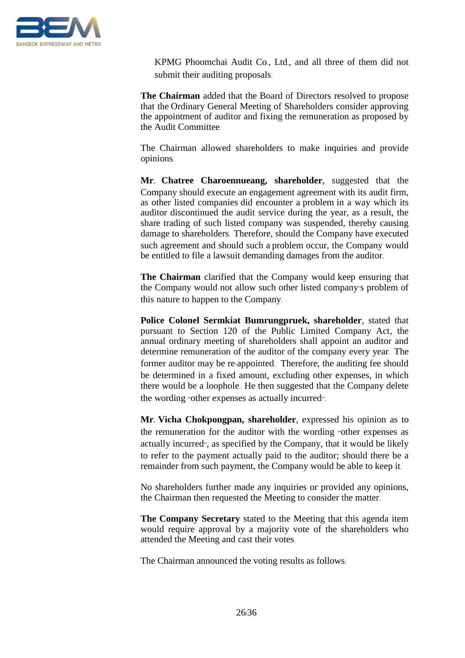

KPMG Phoomchai Audit Co., Ltd., and all three of them did not submit their auditing proposals.

**The Chairman** added that the Board of Directors resolved to propose that the Ordinary General Meeting of Shareholders consider approving the appointment of auditor and fixing the remuneration as proposed by the Audit Committee.

The Chairman allowed shareholders to make inquiries and provide opinions.

**Mr. Chatree Charoennueang, shareholder**, suggested that the Company should execute an engagement agreement with its audit firm, as other listed companies did encounter a problem in a way which its auditor discontinued the audit service during the year, as a result, the share trading of such listed company was suspended, thereby causing damage to shareholders. Therefore, should the Company have executed such agreement and should such a problem occur, the Company would be entitled to file a lawsuit demanding damages from the auditor.

**The Chairman** clarified that the Company would keep ensuring that the Company would not allow such other listed company's problem of this nature to happen to the Company.

**Police Colonel Sermkiat Bumrungpruek, shareholder**, stated that pursuant to Section 120 of the Public Limited Company Act, the annual ordinary meeting of shareholders shall appoint an auditor and determine remuneration of the auditor of the company every year. The former auditor may be re-appointed. Therefore, the auditing fee should be determined in a fixed amount, excluding other expenses, in which there would be a loophole. He then suggested that the Company delete the wording "other expenses as actually incurred".

**Mr. Vicha Chokpongpan, shareholder**, expressed his opinion as to the remuneration for the auditor with the wording "other expenses as actually incurred", as specified by the Company, that it would be likely to refer to the payment actually paid to the auditor; should there be a remainder from such payment, the Company would be able to keep it.

No shareholders further made any inquiries or provided any opinions, the Chairman then requested the Meeting to consider the matter.

**The Company Secretary** stated to the Meeting that this agenda item would require approval by a majority vote of the shareholders who attended the Meeting and cast their votes.

The Chairman announced the voting results as follows: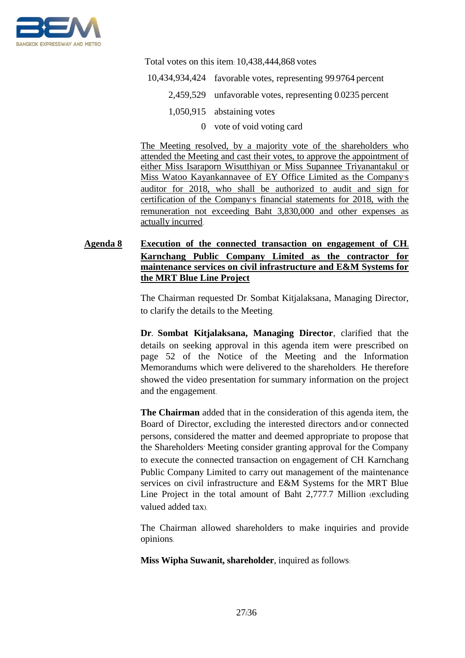

Total votes on this item: 10,438,444,868 votes

- 10,434,934,424 favorable votes, representing 99.9764 percent
	- 2,459,529 unfavorable votes, representing 0.0235 percent
		- 1,050,915 abstaining votes
			- 0 vote of void voting card

The Meeting resolved, by a majority vote of the shareholders who attended the Meeting and cast their votes, to approve the appointment of either Miss Isaraporn Wisutthiyan or Miss Supannee Triyanantakul or Miss Watoo Kayankannavee of EY Office Limited as the Company's auditor for 2018, who shall be authorized to audit and sign for certification of the Company's financial statements for 2018, with the remuneration not exceeding Baht 3,830,000 and other expenses as actually incurred.

# **Agenda 8 Execution of the connected transaction on engagement of CH. Karnchang Public Company Limited as the contractor for maintenance services on civil infrastructure and E&M Systems for the MRT Blue Line Project**

The Chairman requested Dr. Sombat Kitjalaksana, Managing Director, to clarify the details to the Meeting.

**Dr. Sombat Kitjalaksana, Managing Director**, clarified that the details on seeking approval in this agenda item were prescribed on page 52 of the Notice of the Meeting and the Information Memorandums which were delivered to the shareholders. He therefore showed the video presentation for summary information on the project and the engagement.

**The Chairman** added that in the consideration of this agenda item, the Board of Director, excluding the interested directors and/or connected persons, considered the matter and deemed appropriate to propose that the Shareholders' Meeting consider granting approval for the Company to execute the connected transaction on engagement of CH. Karnchang Public Company Limited to carry out management of the maintenance services on civil infrastructure and E&M Systems for the MRT Blue Line Project in the total amount of Baht 2,777.7 Million (excluding valued added tax).

The Chairman allowed shareholders to make inquiries and provide opinions.

**Miss Wipha Suwanit, shareholder**, inquired as follows: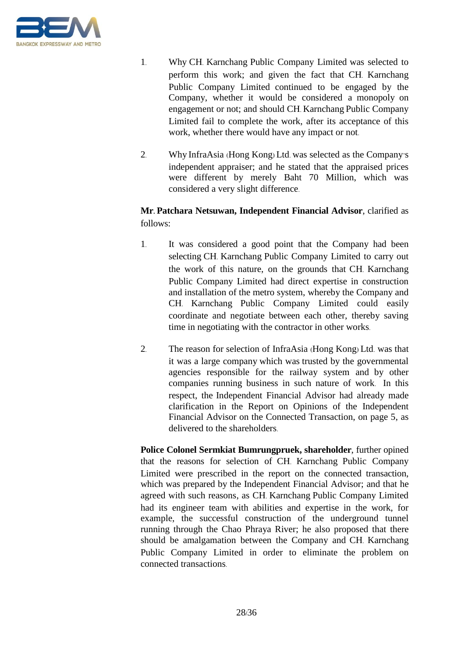

- 1. Why CH. Karnchang Public Company Limited was selected to perform this work; and given the fact that CH. Karnchang Public Company Limited continued to be engaged by the Company, whether it would be considered a monopoly on engagement or not; and should CH. Karnchang Public Company Limited fail to complete the work, after its acceptance of this work, whether there would have any impact or not.
- 2. Why InfraAsia (Hong Kong) Ltd. was selected as the Company's independent appraiser; and he stated that the appraised prices were different by merely Baht 70 Million, which was considered a very slight difference.

# **Mr. Patchara Netsuwan, Independent Financial Advisor**, clarified as follows:

- 1. It was considered a good point that the Company had been selecting CH. Karnchang Public Company Limited to carry out the work of this nature, on the grounds that CH. Karnchang Public Company Limited had direct expertise in construction and installation of the metro system, whereby the Company and CH. Karnchang Public Company Limited could easily coordinate and negotiate between each other, thereby saving time in negotiating with the contractor in other works.
- 2. The reason for selection of InfraAsia (Hong Kong) Ltd. was that it was a large company which was trusted by the governmental agencies responsible for the railway system and by other companies running business in such nature of work. In this respect, the Independent Financial Advisor had already made clarification in the Report on Opinions of the Independent Financial Advisor on the Connected Transaction, on page 5, as delivered to the shareholders.

**Police Colonel Sermkiat Bumrungpruek, shareholder**, further opined that the reasons for selection of CH. Karnchang Public Company Limited were prescribed in the report on the connected transaction, which was prepared by the Independent Financial Advisor; and that he agreed with such reasons, as CH. Karnchang Public Company Limited had its engineer team with abilities and expertise in the work, for example, the successful construction of the underground tunnel running through the Chao Phraya River; he also proposed that there should be amalgamation between the Company and CH. Karnchang Public Company Limited in order to eliminate the problem on connected transactions.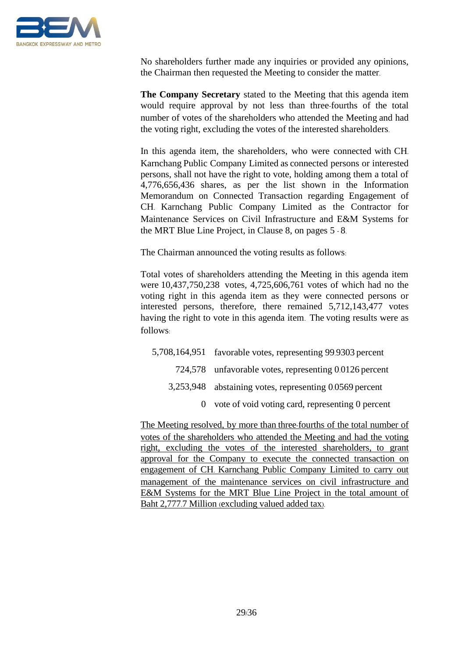

No shareholders further made any inquiries or provided any opinions, the Chairman then requested the Meeting to consider the matter.

**The Company Secretary** stated to the Meeting that this agenda item would require approval by not less than three-fourths of the total number of votes of the shareholders who attended the Meeting and had the voting right, excluding the votes of the interested shareholders.

In this agenda item, the shareholders, who were connected with CH. Karnchang Public Company Limited as connected persons or interested persons, shall not have the right to vote, holding among them a total of 4,776,656,436 shares, as per the list shown in the Information Memorandum on Connected Transaction regarding Engagement of CH. Karnchang Public Company Limited as the Contractor for Maintenance Services on Civil Infrastructure and E&M Systems for the MRT Blue Line Project, in Clause 8, on pages 5 - 8.

The Chairman announced the voting results as follows:

Total votes of shareholders attending the Meeting in this agenda item were 10,437,750,238 votes, 4,725,606,761 votes of which had no the voting right in this agenda item as they were connected persons or interested persons, therefore, there remained 5,712,143,477 votes having the right to vote in this agenda item. The voting results were as follows:

5,708,164,951 favorable votes, representing 99.9303 percent 724,578 unfavorable votes, representing 0.0126 percent 3,253,948 abstaining votes, representing 0.0569 percent 0 vote of void voting card, representing 0 percent

The Meeting resolved, by more than three-fourths of the total number of votes of the shareholders who attended the Meeting and had the voting right, excluding the votes of the interested shareholders, to grant approval for the Company to execute the connected transaction on engagement of CH. Karnchang Public Company Limited to carry out management of the maintenance services on civil infrastructure and E&M Systems for the MRT Blue Line Project in the total amount of Baht 2,777.7 Million (excluding valued added tax).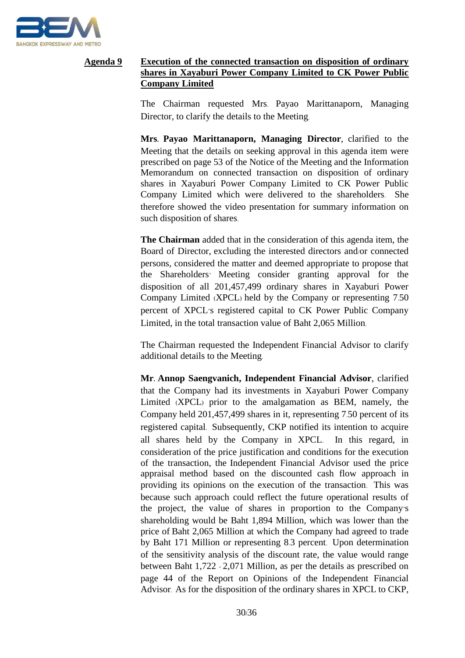

# **Agenda 9 Execution of the connected transaction on disposition of ordinary shares in Xayaburi Power Company Limited to CK Power Public Company Limited**

The Chairman requested Mrs. Payao Marittanaporn, Managing Director, to clarify the details to the Meeting.

**Mrs. Payao Marittanaporn, Managing Director**, clarified to the Meeting that the details on seeking approval in this agenda item were prescribed on page 53 of the Notice of the Meeting and the Information Memorandum on connected transaction on disposition of ordinary shares in Xayaburi Power Company Limited to CK Power Public Company Limited which were delivered to the shareholders. She therefore showed the video presentation for summary information on such disposition of shares.

**The Chairman** added that in the consideration of this agenda item, the Board of Director, excluding the interested directors and/or connected persons, considered the matter and deemed appropriate to propose that the Shareholders' Meeting consider granting approval for the disposition of all 201,457,499 ordinary shares in Xayaburi Power Company Limited (XPCL) held by the Company or representing 7.50 percent of XPCL's registered capital to CK Power Public Company Limited, in the total transaction value of Baht 2,065 Million.

The Chairman requested the Independent Financial Advisor to clarify additional details to the Meeting.

**Mr. Annop Saengvanich, Independent Financial Advisor**, clarified that the Company had its investments in Xayaburi Power Company Limited (XPCL) prior to the amalgamation as BEM, namely, the Company held 201,457,499 shares in it, representing 7.50 percent of its registered capital. Subsequently, CKP notified its intention to acquire all shares held by the Company in XPCL. In this regard, in consideration of the price justification and conditions for the execution of the transaction, the Independent Financial Advisor used the price appraisal method based on the discounted cash flow approach in providing its opinions on the execution of the transaction. This was because such approach could reflect the future operational results of the project, the value of shares in proportion to the Company's shareholding would be Baht 1,894 Million, which was lower than the price of Baht 2,065 Million at which the Company had agreed to trade by Baht 171 Million or representing 8.3 percent. Upon determination of the sensitivity analysis of the discount rate, the value would range between Baht 1,722 - 2,071 Million, as per the details as prescribed on page 44 of the Report on Opinions of the Independent Financial Advisor. As for the disposition of the ordinary shares in XPCL to CKP,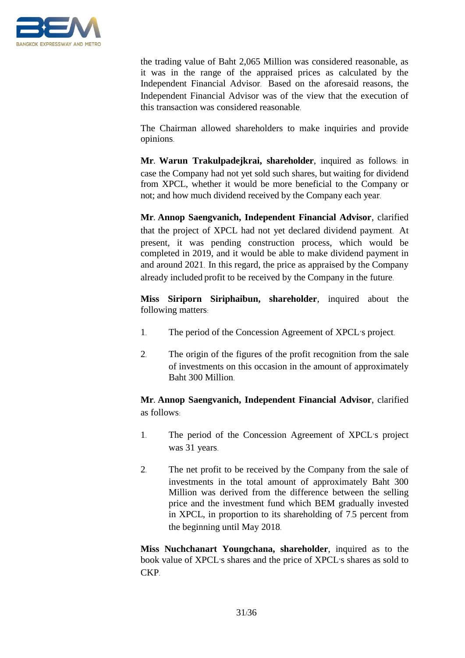

the trading value of Baht 2,065 Million was considered reasonable, as it was in the range of the appraised prices as calculated by the Independent Financial Advisor. Based on the aforesaid reasons, the Independent Financial Advisor was of the view that the execution of this transaction was considered reasonable.

The Chairman allowed shareholders to make inquiries and provide opinions.

**Mr. Warun Trakulpadejkrai, shareholder**, inquired as follows: in case the Company had not yet sold such shares, but waiting for dividend from XPCL, whether it would be more beneficial to the Company or not; and how much dividend received by the Company each year.

**Mr. Annop Saengvanich, Independent Financial Advisor**, clarified that the project of XPCL had not yet declared dividend payment. At present, it was pending construction process, which would be completed in 2019, and it would be able to make dividend payment in and around 2021. In this regard, the price as appraised by the Company already included profit to be received by the Company in the future.

**Miss Siriporn Siriphaibun, shareholder**, inquired about the following matters:

- 1. The period of the Concession Agreement of XPCL's project.
- 2. The origin of the figures of the profit recognition from the sale of investments on this occasion in the amount of approximately Baht 300 Million.

# **Mr. Annop Saengvanich, Independent Financial Advisor**, clarified as follows:

- 1. The period of the Concession Agreement of XPCL's project was 31 years.
- 2. The net profit to be received by the Company from the sale of investments in the total amount of approximately Baht 300 Million was derived from the difference between the selling price and the investment fund which BEM gradually invested in XPCL, in proportion to its shareholding of 7.5 percent from the beginning until May 2018.

**Miss Nuchchanart Youngchana, shareholder**, inquired as to the book value of XPCL's shares and the price of XPCL's shares as sold to CKP.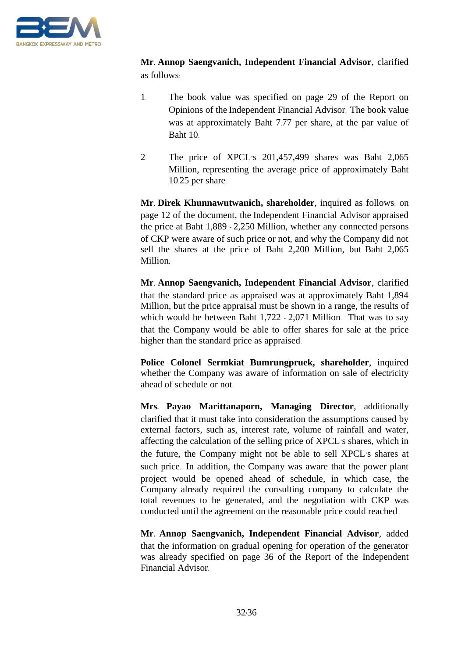

**Mr. Annop Saengvanich, Independent Financial Advisor**, clarified as follows:

- 1. The book value was specified on page 29 of the Report on Opinions of the Independent Financial Advisor. The book value was at approximately Baht 7.77 per share, at the par value of Baht 10.
- 2. The price of XPCL's 201,457,499 shares was Baht 2,065 Million, representing the average price of approximately Baht 10.25 per share.

**Mr. Direk Khunnawutwanich, shareholder**, inquired as follows: on page 12 of the document, the Independent Financial Advisor appraised the price at Baht 1,889 - 2,250 Million, whether any connected persons of CKP were aware of such price or not, and why the Company did not sell the shares at the price of Baht 2,200 Million, but Baht 2,065 Million.

**Mr. Annop Saengvanich, Independent Financial Advisor**, clarified that the standard price as appraised was at approximately Baht 1,894 Million, but the price appraisal must be shown in a range, the results of which would be between Baht 1,722 - 2,071 Million. That was to say that the Company would be able to offer shares for sale at the price higher than the standard price as appraised.

**Police Colonel Sermkiat Bumrungpruek, shareholder**, inquired whether the Company was aware of information on sale of electricity ahead of schedule or not.

**Mrs. Payao Marittanaporn, Managing Director**, additionally clarified that it must take into consideration the assumptions caused by external factors, such as, interest rate, volume of rainfall and water, affecting the calculation of the selling price of XPCL's shares, which in the future, the Company might not be able to sell XPCL's shares at such price. In addition, the Company was aware that the power plant project would be opened ahead of schedule, in which case, the Company already required the consulting company to calculate the total revenues to be generated, and the negotiation with CKP was conducted until the agreement on the reasonable price could reached.

**Mr. Annop Saengvanich, Independent Financial Advisor**, added that the information on gradual opening for operation of the generator was already specified on page 36 of the Report of the Independent Financial Advisor.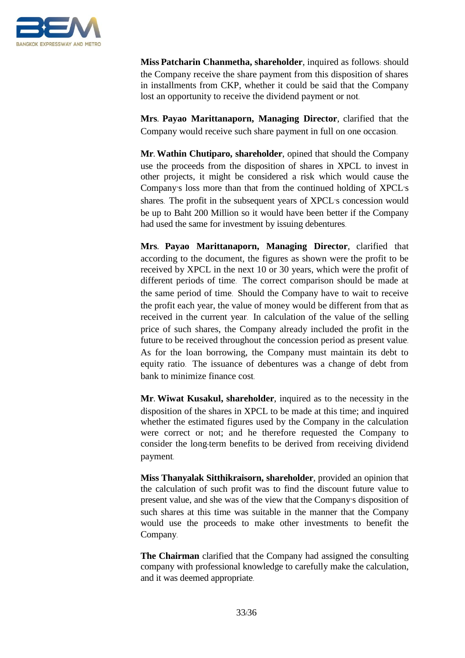

**Miss Patcharin Chanmetha, shareholder**, inquired as follows: should the Company receive the share payment from this disposition of shares in installments from CKP, whether it could be said that the Company lost an opportunity to receive the dividend payment or not.

**Mrs. Payao Marittanaporn, Managing Director**, clarified that the Company would receive such share payment in full on one occasion.

**Mr. Wathin Chutiparo, shareholder**, opined that should the Company use the proceeds from the disposition of shares in XPCL to invest in other projects, it might be considered a risk which would cause the Company's loss more than that from the continued holding of XPCL's shares. The profit in the subsequent years of XPCL's concession would be up to Baht 200 Million so it would have been better if the Company had used the same for investment by issuing debentures.

**Mrs. Payao Marittanaporn, Managing Director**, clarified that according to the document, the figures as shown were the profit to be received by XPCL in the next 10 or 30 years, which were the profit of different periods of time. The correct comparison should be made at the same period of time. Should the Company have to wait to receive the profit each year, the value of money would be different from that as received in the current year. In calculation of the value of the selling price of such shares, the Company already included the profit in the future to be received throughout the concession period as present value. As for the loan borrowing, the Company must maintain its debt to equity ratio. The issuance of debentures was a change of debt from bank to minimize finance cost.

**Mr. Wiwat Kusakul, shareholder**, inquired as to the necessity in the disposition of the shares in XPCL to be made at this time; and inquired whether the estimated figures used by the Company in the calculation were correct or not; and he therefore requested the Company to consider the long-term benefits to be derived from receiving dividend payment.

**Miss Thanyalak Sitthikraisorn, shareholder**, provided an opinion that the calculation of such profit was to find the discount future value to present value, and she was of the view that the Company's disposition of such shares at this time was suitable in the manner that the Company would use the proceeds to make other investments to benefit the Company.

**The Chairman** clarified that the Company had assigned the consulting company with professional knowledge to carefully make the calculation, and it was deemed appropriate.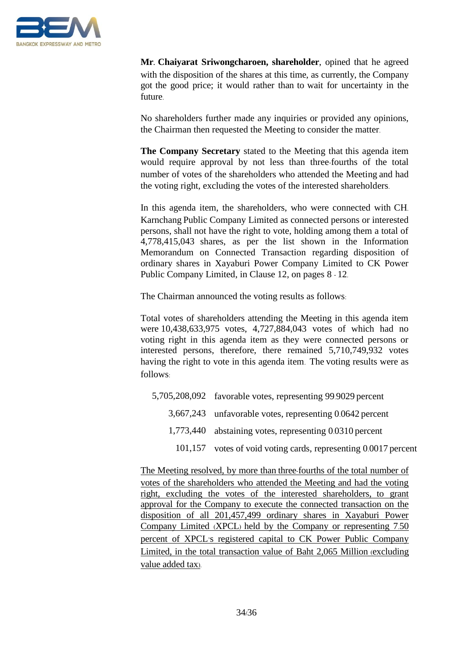

**Mr. Chaiyarat Sriwongcharoen, shareholder**, opined that he agreed with the disposition of the shares at this time, as currently, the Company got the good price; it would rather than to wait for uncertainty in the future.

No shareholders further made any inquiries or provided any opinions, the Chairman then requested the Meeting to consider the matter.

**The Company Secretary** stated to the Meeting that this agenda item would require approval by not less than three-fourths of the total number of votes of the shareholders who attended the Meeting and had the voting right, excluding the votes of the interested shareholders.

In this agenda item, the shareholders, who were connected with CH. Karnchang Public Company Limited as connected persons or interested persons, shall not have the right to vote, holding among them a total of 4,778,415,043 shares, as per the list shown in the Information Memorandum on Connected Transaction regarding disposition of ordinary shares in Xayaburi Power Company Limited to CK Power Public Company Limited, in Clause 12, on pages 8 - 12.

The Chairman announced the voting results as follows:

Total votes of shareholders attending the Meeting in this agenda item were 10,438,633,975 votes, 4,727,884,043 votes of which had no voting right in this agenda item as they were connected persons or interested persons, therefore, there remained 5,710,749,932 votes having the right to vote in this agenda item. The voting results were as follows:

- 5,705,208,092 favorable votes, representing 99.9029 percent 3,667,243 unfavorable votes, representing 0.0642 percent 1,773,440 abstaining votes, representing 0.0310 percent
	- 101,157 votes of void voting cards, representing 0.0017 percent

The Meeting resolved, by more than three-fourths of the total number of votes of the shareholders who attended the Meeting and had the voting right, excluding the votes of the interested shareholders, to grant approval for the Company to execute the connected transaction on the disposition of all 201,457,499 ordinary shares in Xayaburi Power Company Limited (XPCL) held by the Company or representing 7.50 percent of XPCL's registered capital to CK Power Public Company Limited, in the total transaction value of Baht 2,065 Million (excluding value added tax).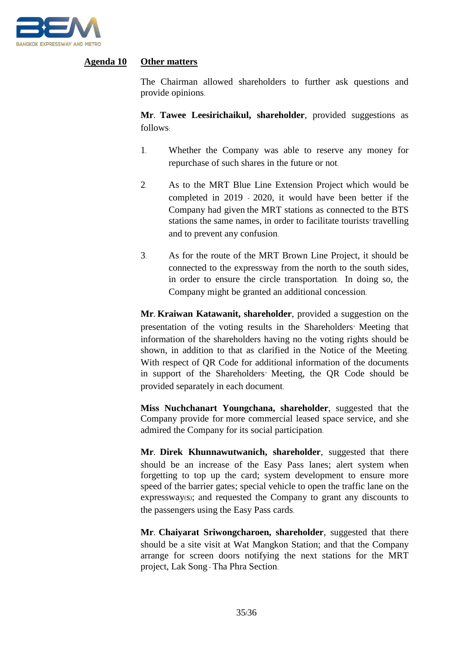

## **Agenda 10 Other matters**

The Chairman allowed shareholders to further ask questions and provide opinions.

**Mr. Tawee Leesirichaikul, shareholder**, provided suggestions as follows:

- 1. Whether the Company was able to reserve any money for repurchase of such shares in the future or not.
- 2. As to the MRT Blue Line Extension Project which would be completed in 2019 - 2020, it would have been better if the Company had given the MRT stations as connected to the BTS stations the same names, in order to facilitate tourists' travelling and to prevent any confusion.
- 3. As for the route of the MRT Brown Line Project, it should be connected to the expressway from the north to the south sides, in order to ensure the circle transportation. In doing so, the Company might be granted an additional concession.

**Mr. Kraiwan Katawanit, shareholder**, provided a suggestion on the presentation of the voting results in the Shareholders' Meeting that information of the shareholders having no the voting rights should be shown, in addition to that as clarified in the Notice of the Meeting. With respect of QR Code for additional information of the documents in support of the Shareholders' Meeting, the QR Code should be provided separately in each document.

**Miss Nuchchanart Youngchana, shareholder**, suggested that the Company provide for more commercial leased space service, and she admired the Company for its social participation.

**Mr. Direk Khunnawutwanich, shareholder**, suggested that there should be an increase of the Easy Pass lanes; alert system when forgetting to top up the card; system development to ensure more speed of the barrier gates; special vehicle to open the traffic lane on the expressway(s); and requested the Company to grant any discounts to the passengers using the Easy Pass cards.

**Mr. Chaiyarat Sriwongcharoen, shareholder**, suggested that there should be a site visit at Wat Mangkon Station; and that the Company arrange for screen doors notifying the next stations for the MRT project, Lak Song - Tha Phra Section.